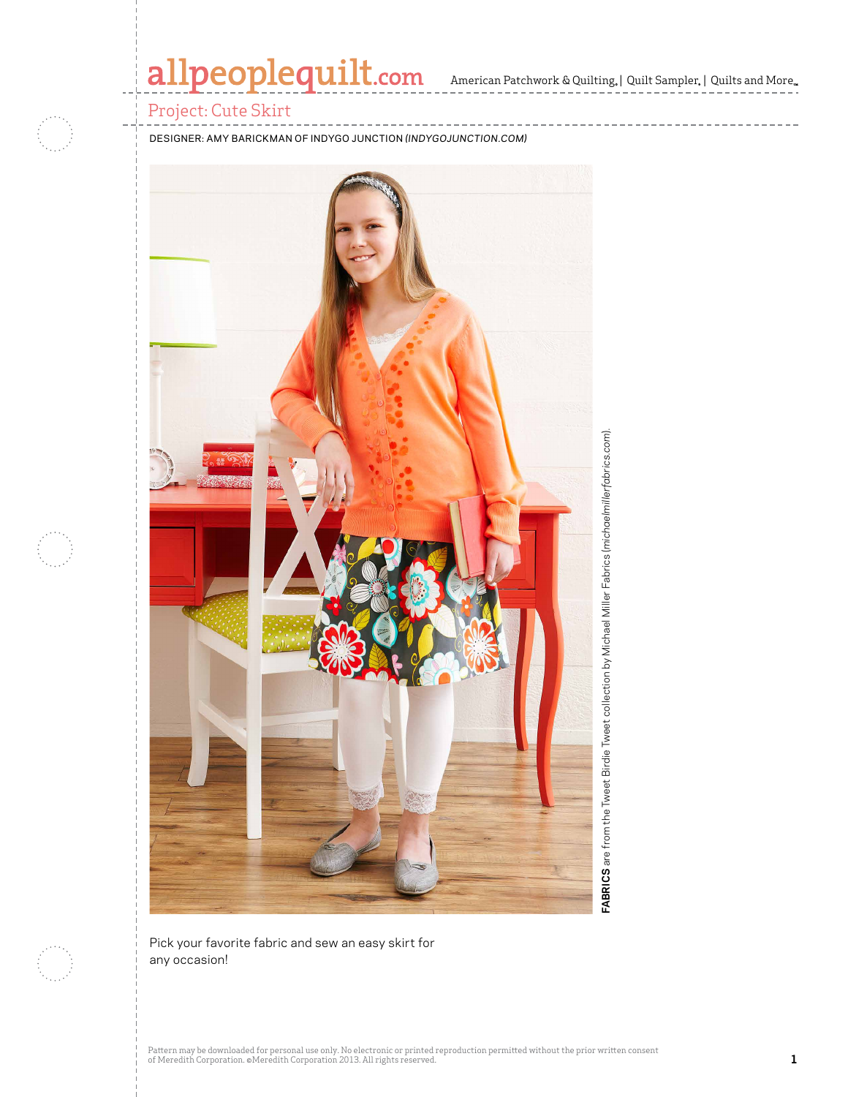## allpeoplequilt.com American Patchwork & Quilting, | Quilt Sampler, | Quilts and More..

#### Project: Cute Skirt

DESIGNER: AMY BARICKMAN OF INDYGO JUNCTION *(INDYGOJUNCTION.COM)*



FABRICS are from the Tweet Birdie Tweet collection by Michael Miller Fabrics (michoelmillerfobrics.com). **FABRICS** are from the Tweet Birdie Tweet collection by Michael Miller Fabrics (*michaelmillerfabrics.com*).



Pick your favorite fabric and sew an easy skirt for any occasion!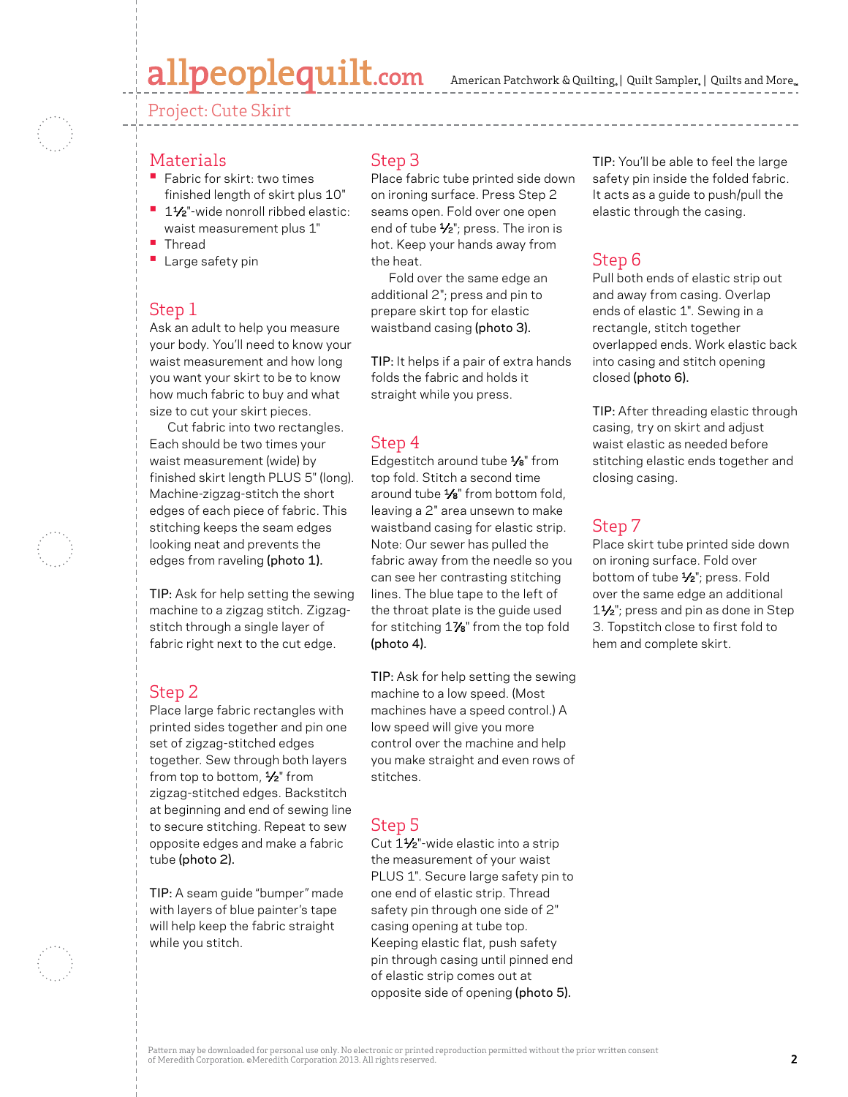### allpeoplequilt.com

American Patchwork & Quilting, | Quilt Sampler, | Quilts and More...

#### Project: Cute Skirt



#### **Materials**

- **•** Fabric for skirt: two times finished length of skirt plus 10"
- **•** 1½"-wide nonroll ribbed elastic: waist measurement plus 1"
- **•** Thread
- **•** Large safety pin

#### Step 1

Ask an adult to help you measure your body. You'll need to know your waist measurement and how long you want your skirt to be to know how much fabric to buy and what size to cut your skirt pieces.

 Cut fabric into two rectangles. Each should be two times your waist measurement (wide) by finished skirt length PLUS 5" (long). Machine-zigzag-stitch the short edges of each piece of fabric. This stitching keeps the seam edges looking neat and prevents the edges from raveling (photo 1).

TIP: Ask for help setting the sewing machine to a zigzag stitch. Zigzagstitch through a single layer of fabric right next to the cut edge.

#### Step 2

Place large fabric rectangles with printed sides together and pin one set of zigzag-stitched edges together. Sew through both layers from top to bottom,  $\frac{1}{2}$ " from zigzag-stitched edges. Backstitch at beginning and end of sewing line to secure stitching. Repeat to sew opposite edges and make a fabric tube (photo 2).

TIP: A seam guide "bumper" made with layers of blue painter's tape will help keep the fabric straight while you stitch.

#### Step 3

Place fabric tube printed side down on ironing surface. Press Step 2 seams open. Fold over one open end of tube  $\frac{1}{2}$ "; press. The iron is hot. Keep your hands away from the heat.

 Fold over the same edge an additional 2"; press and pin to prepare skirt top for elastic waistband casing (photo 3).

TIP: It helps if a pair of extra hands folds the fabric and holds it straight while you press.

#### Step 4

Edgestitch around tube 1/8" from top fold. Stitch a second time around tube 1/8" from bottom fold, leaving a 2" area unsewn to make waistband casing for elastic strip. Note: Our sewer has pulled the fabric away from the needle so you can see her contrasting stitching lines. The blue tape to the left of the throat plate is the guide used for stitching 17⁄8" from the top fold (photo 4).

TIP: Ask for help setting the sewing machine to a low speed. (Most machines have a speed control.) A low speed will give you more control over the machine and help you make straight and even rows of stitches.

#### Step 5

Cut 1<sup>1</sup>/<sub>2</sub>"-wide elastic into a strip the measurement of your waist PLUS 1". Secure large safety pin to one end of elastic strip. Thread safety pin through one side of 2" casing opening at tube top. Keeping elastic flat, push safety pin through casing until pinned end of elastic strip comes out at opposite side of opening (photo 5).

TIP: You'll be able to feel the large safety pin inside the folded fabric. It acts as a guide to push/pull the elastic through the casing.

#### Step 6

Pull both ends of elastic strip out and away from casing. Overlap ends of elastic 1". Sewing in a rectangle, stitch together overlapped ends. Work elastic back into casing and stitch opening closed (photo 6).

TIP: After threading elastic through casing, try on skirt and adjust waist elastic as needed before stitching elastic ends together and closing casing.

#### Step 7

Place skirt tube printed side down on ironing surface. Fold over bottom of tube 1⁄2"; press. Fold over the same edge an additional 1<sup>1</sup>/<sub>2</sub>"; press and pin as done in Step 3. Topstitch close to first fold to hem and complete skirt.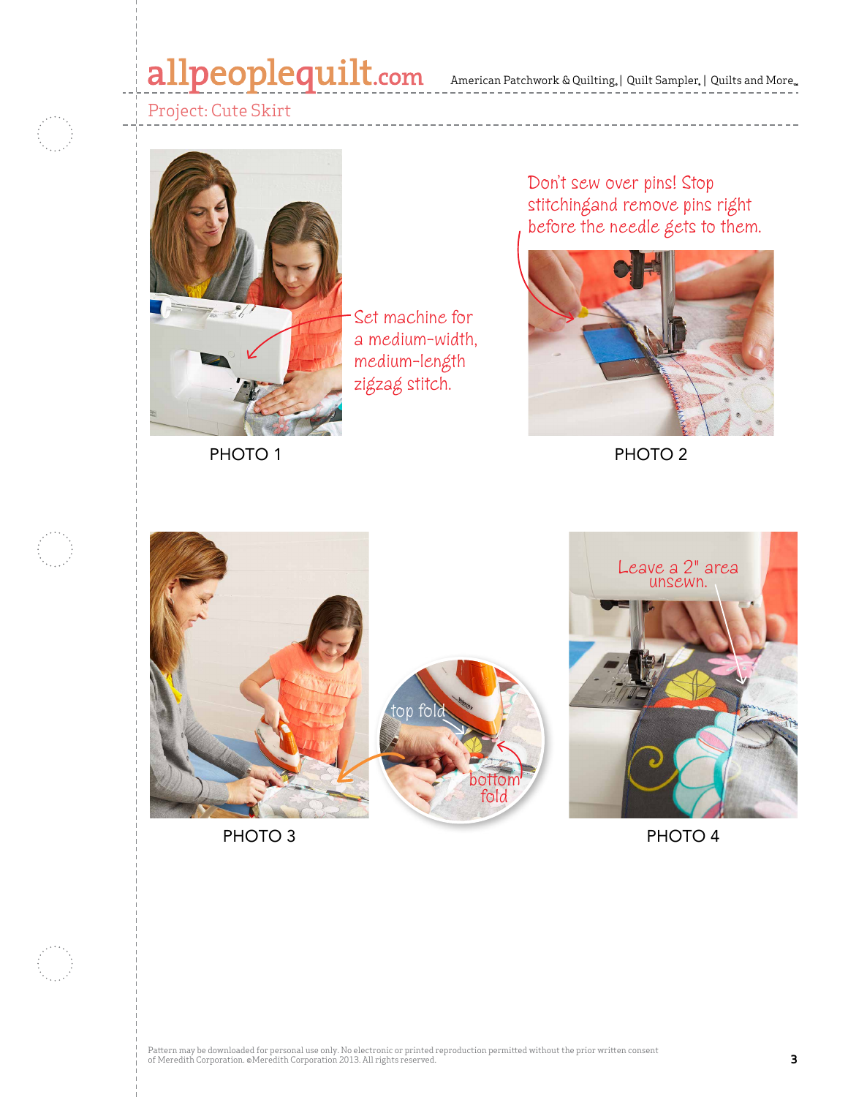### allpeoplequilt.com American Patchwork & Quilting, | Quilt Sampler, | Quilts and More..



### Project: Cute Skirt



PHOTO<sub>1</sub>

Don't sew over pins! Stop stitchingand remove pins right before the needle gets to them.



PHOTO 2







PHOTO 3 PHOTO 4